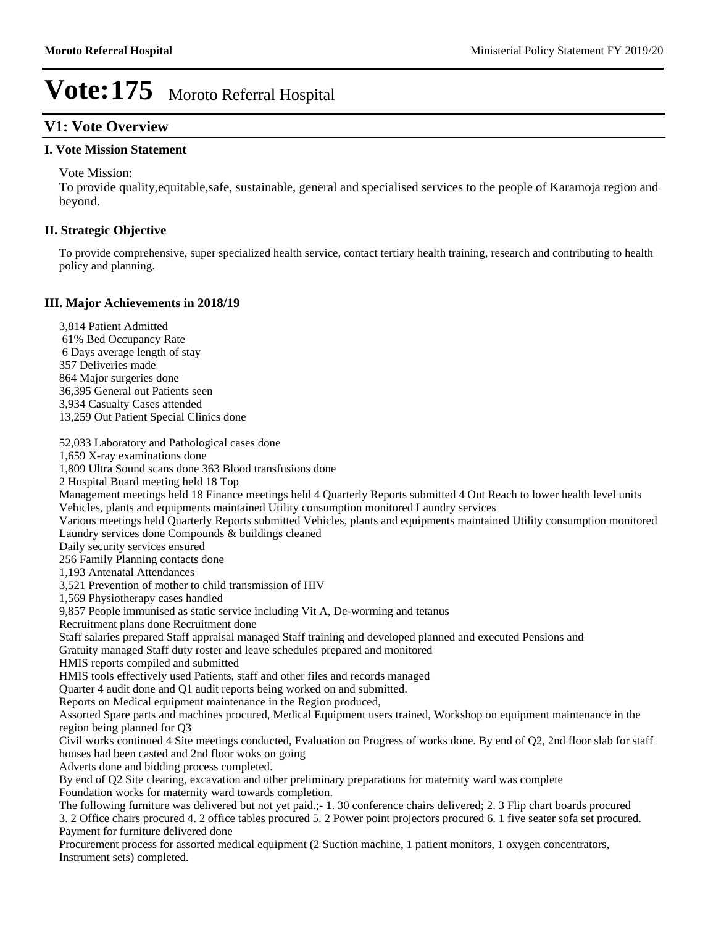### **V1: Vote Overview**

### **I. Vote Mission Statement**

Vote Mission:

To provide quality,equitable,safe, sustainable, general and specialised services to the people of Karamoja region and beyond.

#### **II. Strategic Objective**

To provide comprehensive, super specialized health service, contact tertiary health training, research and contributing to health policy and planning.

#### **III. Major Achievements in 2018/19**

3,814 Patient Admitted 61% Bed Occupancy Rate 6 Days average length of stay 357 Deliveries made 864 Major surgeries done 36,395 General out Patients seen 3,934 Casualty Cases attended 13,259 Out Patient Special Clinics done

52,033 Laboratory and Pathological cases done 1,659 X-ray examinations done 1,809 Ultra Sound scans done 363 Blood transfusions done 2 Hospital Board meeting held 18 Top Management meetings held 18 Finance meetings held 4 Quarterly Reports submitted 4 Out Reach to lower health level units Vehicles, plants and equipments maintained Utility consumption monitored Laundry services Various meetings held Quarterly Reports submitted Vehicles, plants and equipments maintained Utility consumption monitored Laundry services done Compounds & buildings cleaned Daily security services ensured 256 Family Planning contacts done 1,193 Antenatal Attendances 3,521 Prevention of mother to child transmission of HIV 1,569 Physiotherapy cases handled 9,857 People immunised as static service including Vit A, De-worming and tetanus Recruitment plans done Recruitment done Staff salaries prepared Staff appraisal managed Staff training and developed planned and executed Pensions and Gratuity managed Staff duty roster and leave schedules prepared and monitored HMIS reports compiled and submitted HMIS tools effectively used Patients, staff and other files and records managed Quarter 4 audit done and Q1 audit reports being worked on and submitted. Reports on Medical equipment maintenance in the Region produced, Assorted Spare parts and machines procured, Medical Equipment users trained, Workshop on equipment maintenance in the region being planned for Q3 Civil works continued 4 Site meetings conducted, Evaluation on Progress of works done. By end of Q2, 2nd floor slab for staff houses had been casted and 2nd floor woks on going Adverts done and bidding process completed. By end of Q2 Site clearing, excavation and other preliminary preparations for maternity ward was complete Foundation works for maternity ward towards completion. The following furniture was delivered but not yet paid.;- 1. 30 conference chairs delivered; 2. 3 Flip chart boards procured 3. 2 Office chairs procured 4. 2 office tables procured 5. 2 Power point projectors procured 6. 1 five seater sofa set procured. Payment for furniture delivered done Procurement process for assorted medical equipment (2 Suction machine, 1 patient monitors, 1 oxygen concentrators, Instrument sets) completed.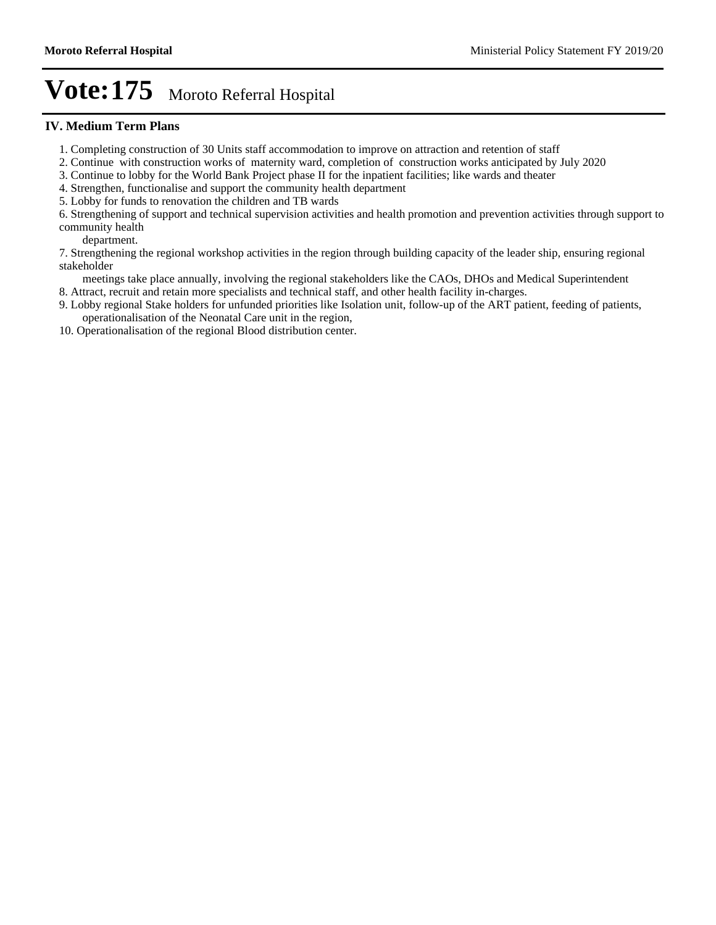#### **IV. Medium Term Plans**

- 1. Completing construction of 30 Units staff accommodation to improve on attraction and retention of staff
- 2. Continue with construction works of maternity ward, completion of construction works anticipated by July 2020
- 3. Continue to lobby for the World Bank Project phase II for the inpatient facilities; like wards and theater
- 4. Strengthen, functionalise and support the community health department
- 5. Lobby for funds to renovation the children and TB wards

6. Strengthening of support and technical supervision activities and health promotion and prevention activities through support to community health

department.

7. Strengthening the regional workshop activities in the region through building capacity of the leader ship, ensuring regional stakeholder

meetings take place annually, involving the regional stakeholders like the CAOs, DHOs and Medical Superintendent

- 8. Attract, recruit and retain more specialists and technical staff, and other health facility in-charges.
- 9. Lobby regional Stake holders for unfunded priorities like Isolation unit, follow-up of the ART patient, feeding of patients, operationalisation of the Neonatal Care unit in the region,
- 10. Operationalisation of the regional Blood distribution center.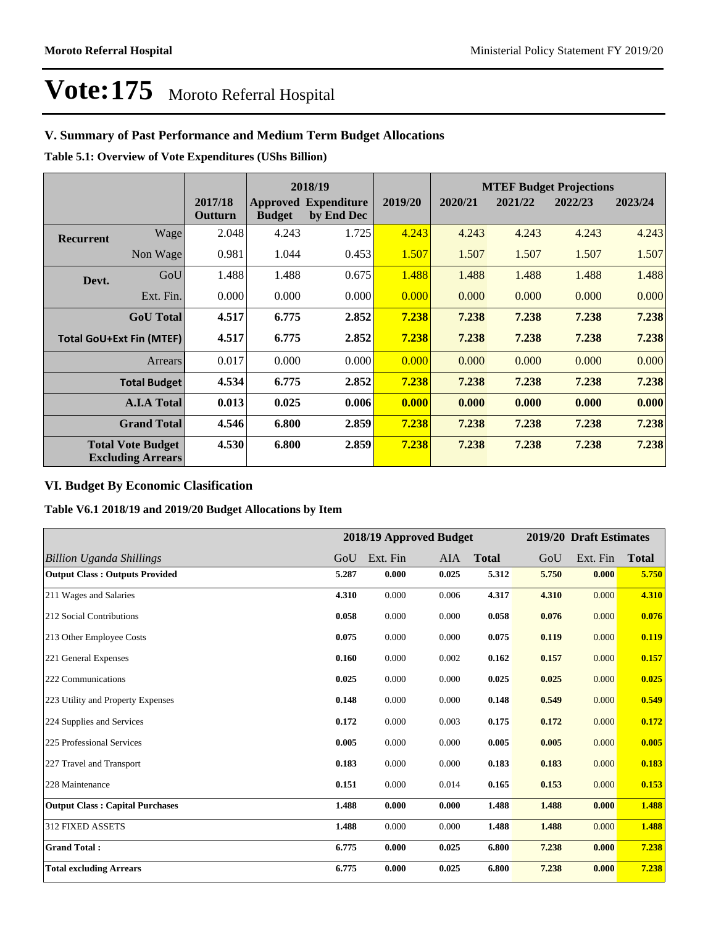### **V. Summary of Past Performance and Medium Term Budget Allocations**

**Table 5.1: Overview of Vote Expenditures (UShs Billion)**

|                  |                                                      |                    |               | 2018/19                                   |         |         |         | <b>MTEF Budget Projections</b> |         |
|------------------|------------------------------------------------------|--------------------|---------------|-------------------------------------------|---------|---------|---------|--------------------------------|---------|
|                  |                                                      | 2017/18<br>Outturn | <b>Budget</b> | <b>Approved Expenditure</b><br>by End Dec | 2019/20 | 2020/21 | 2021/22 | 2022/23                        | 2023/24 |
| <b>Recurrent</b> | Wage                                                 | 2.048              | 4.243         | 1.725                                     | 4.243   | 4.243   | 4.243   | 4.243                          | 4.243   |
|                  | Non Wage                                             | 0.981              | 1.044         | 0.453                                     | 1.507   | 1.507   | 1.507   | 1.507                          | 1.507   |
| Devt.            | GoU                                                  | 1.488              | 1.488         | 0.675                                     | 1.488   | 1.488   | 1.488   | 1.488                          | 1.488   |
|                  | Ext. Fin.                                            | 0.000              | 0.000         | 0.000                                     | 0.000   | 0.000   | 0.000   | 0.000                          | 0.000   |
|                  | <b>GoU</b> Total                                     | 4.517              | 6.775         | 2.852                                     | 7.238   | 7.238   | 7.238   | 7.238                          | 7.238   |
|                  | <b>Total GoU+Ext Fin (MTEF)</b>                      | 4.517              | 6.775         | 2.852                                     | 7.238   | 7.238   | 7.238   | 7.238                          | 7.238   |
|                  | <b>Arrears</b>                                       | 0.017              | 0.000         | 0.000                                     | 0.000   | 0.000   | 0.000   | 0.000                          | 0.000   |
|                  | <b>Total Budget</b>                                  | 4.534              | 6.775         | 2.852                                     | 7.238   | 7.238   | 7.238   | 7.238                          | 7.238   |
|                  | <b>A.I.A Total</b>                                   | 0.013              | 0.025         | 0.006                                     | 0.000   | 0.000   | 0.000   | 0.000                          | 0.000   |
|                  | <b>Grand Total</b>                                   | 4.546              | 6.800         | 2.859                                     | 7.238   | 7.238   | 7.238   | 7.238                          | 7.238   |
|                  | <b>Total Vote Budget</b><br><b>Excluding Arrears</b> | 4.530              | 6.800         | 2.859                                     | 7.238   | 7.238   | 7.238   | 7.238                          | 7.238   |

### **VI. Budget By Economic Clasification**

**Table V6.1 2018/19 and 2019/20 Budget Allocations by Item**

|                                        |       | 2018/19 Approved Budget |            |              |       | 2019/20 Draft Estimates |              |
|----------------------------------------|-------|-------------------------|------------|--------------|-------|-------------------------|--------------|
| Billion Uganda Shillings               | GoU   | Ext. Fin                | <b>AIA</b> | <b>Total</b> | GoU   | Ext. Fin                | <b>Total</b> |
| <b>Output Class: Outputs Provided</b>  | 5.287 | 0.000                   | 0.025      | 5.312        | 5.750 | 0.000                   | 5.750        |
| 211 Wages and Salaries                 | 4.310 | 0.000                   | 0.006      | 4.317        | 4.310 | 0.000                   | 4.310        |
| 212 Social Contributions               | 0.058 | 0.000                   | 0.000      | 0.058        | 0.076 | 0.000                   | 0.076        |
| 213 Other Employee Costs               | 0.075 | 0.000                   | 0.000      | 0.075        | 0.119 | 0.000                   | 0.119        |
| 221 General Expenses                   | 0.160 | 0.000                   | 0.002      | 0.162        | 0.157 | 0.000                   | 0.157        |
| 222 Communications                     | 0.025 | 0.000                   | 0.000      | 0.025        | 0.025 | 0.000                   | 0.025        |
| 223 Utility and Property Expenses      | 0.148 | 0.000                   | 0.000      | 0.148        | 0.549 | 0.000                   | 0.549        |
| 224 Supplies and Services              | 0.172 | 0.000                   | 0.003      | 0.175        | 0.172 | 0.000                   | 0.172        |
| 225 Professional Services              | 0.005 | 0.000                   | 0.000      | 0.005        | 0.005 | 0.000                   | 0.005        |
| 227 Travel and Transport               | 0.183 | 0.000                   | 0.000      | 0.183        | 0.183 | 0.000                   | 0.183        |
| 228 Maintenance                        | 0.151 | 0.000                   | 0.014      | 0.165        | 0.153 | 0.000                   | 0.153        |
| <b>Output Class: Capital Purchases</b> | 1.488 | 0.000                   | 0.000      | 1.488        | 1.488 | 0.000                   | 1.488        |
| 312 FIXED ASSETS                       | 1.488 | 0.000                   | 0.000      | 1.488        | 1.488 | 0.000                   | 1.488        |
| <b>Grand Total:</b>                    | 6.775 | 0.000                   | 0.025      | 6.800        | 7.238 | 0.000                   | 7.238        |
| <b>Total excluding Arrears</b>         | 6.775 | 0.000                   | 0.025      | 6.800        | 7.238 | 0.000                   | 7.238        |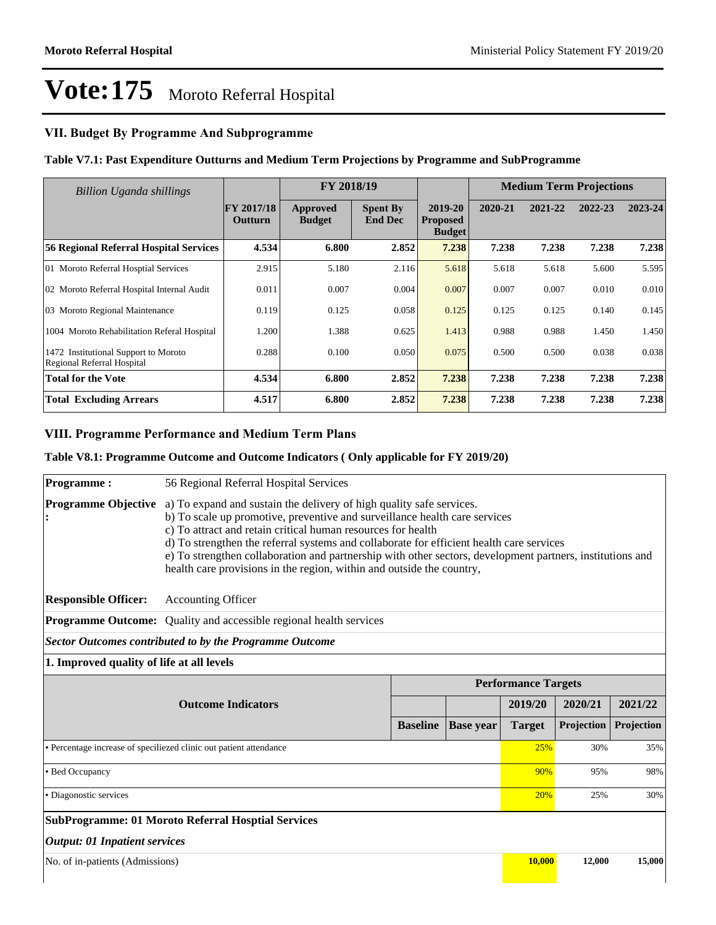### **VII. Budget By Programme And Subprogramme**

#### **Table V7.1: Past Expenditure Outturns and Medium Term Projections by Programme and SubProgramme**

| <b>Billion Uganda shillings</b>                                    | FY 2018/19                   |                           |                                   | <b>Medium Term Projections</b>              |         |         |         |         |
|--------------------------------------------------------------------|------------------------------|---------------------------|-----------------------------------|---------------------------------------------|---------|---------|---------|---------|
|                                                                    | <b>FY 2017/18</b><br>Outturn | Approved<br><b>Budget</b> | <b>Spent By</b><br><b>End Dec</b> | 2019-20<br><b>Proposed</b><br><b>Budget</b> | 2020-21 | 2021-22 | 2022-23 | 2023-24 |
| <b>56 Regional Referral Hospital Services</b>                      | 4.534                        | 6.800                     | 2.852                             | 7.238                                       | 7.238   | 7.238   | 7.238   | 7.238   |
| 01 Moroto Referral Hosptial Services                               | 2.915                        | 5.180                     | 2.116                             | 5.618                                       | 5.618   | 5.618   | 5.600   | 5.595   |
| 02 Moroto Referral Hospital Internal Audit                         | 0.011                        | 0.007                     | 0.004                             | 0.007                                       | 0.007   | 0.007   | 0.010   | 0.010   |
| 03 Moroto Regional Maintenance                                     | 0.119                        | 0.125                     | 0.058                             | 0.125                                       | 0.125   | 0.125   | 0.140   | 0.145   |
| 1004 Moroto Rehabilitation Referal Hospital                        | 1.200                        | 1.388                     | 0.625                             | 1.413                                       | 0.988   | 0.988   | 1.450   | 1.450   |
| 1472 Institutional Support to Moroto<br>Regional Referral Hospital | 0.288                        | 0.100                     | 0.050                             | 0.075                                       | 0.500   | 0.500   | 0.038   | 0.038   |
| Total for the Vote                                                 | 4.534                        | 6.800                     | 2.852                             | 7.238                                       | 7.238   | 7.238   | 7.238   | 7.238   |
| <b>Total Excluding Arrears</b>                                     | 4.517                        | 6.800                     | 2.852                             | 7.238                                       | 7.238   | 7.238   | 7.238   | 7.238   |

### **VIII. Programme Performance and Medium Term Plans**

#### **Table V8.1: Programme Outcome and Outcome Indicators ( Only applicable for FY 2019/20)**

| <b>Programme:</b>                                                  | 56 Regional Referral Hospital Services                                                                                                                                                                                                                                                                                                                                                                                                                                                               |                 |                  |                            |            |            |  |  |
|--------------------------------------------------------------------|------------------------------------------------------------------------------------------------------------------------------------------------------------------------------------------------------------------------------------------------------------------------------------------------------------------------------------------------------------------------------------------------------------------------------------------------------------------------------------------------------|-----------------|------------------|----------------------------|------------|------------|--|--|
| <b>Programme Objective</b>                                         | a) To expand and sustain the delivery of high quality safe services.<br>b) To scale up promotive, preventive and surveillance health care services<br>c) To attract and retain critical human resources for health<br>d) To strengthen the referral systems and collaborate for efficient health care services<br>e) To strengthen collaboration and partnership with other sectors, development partners, institutions and<br>health care provisions in the region, within and outside the country, |                 |                  |                            |            |            |  |  |
| <b>Responsible Officer:</b>                                        | <b>Accounting Officer</b>                                                                                                                                                                                                                                                                                                                                                                                                                                                                            |                 |                  |                            |            |            |  |  |
|                                                                    | <b>Programme Outcome:</b> Quality and accessible regional health services                                                                                                                                                                                                                                                                                                                                                                                                                            |                 |                  |                            |            |            |  |  |
|                                                                    | Sector Outcomes contributed to by the Programme Outcome                                                                                                                                                                                                                                                                                                                                                                                                                                              |                 |                  |                            |            |            |  |  |
| 1. Improved quality of life at all levels                          |                                                                                                                                                                                                                                                                                                                                                                                                                                                                                                      |                 |                  |                            |            |            |  |  |
|                                                                    |                                                                                                                                                                                                                                                                                                                                                                                                                                                                                                      |                 |                  | <b>Performance Targets</b> |            |            |  |  |
| <b>Outcome Indicators</b>                                          |                                                                                                                                                                                                                                                                                                                                                                                                                                                                                                      |                 |                  | 2019/20                    | 2020/21    | 2021/22    |  |  |
|                                                                    |                                                                                                                                                                                                                                                                                                                                                                                                                                                                                                      | <b>Baseline</b> | <b>Base year</b> | <b>Target</b>              | Projection | Projection |  |  |
| • Percentage increase of speciliezed clinic out patient attendance |                                                                                                                                                                                                                                                                                                                                                                                                                                                                                                      |                 |                  |                            | 30%        | 35%        |  |  |
| • Bed Occupancy                                                    |                                                                                                                                                                                                                                                                                                                                                                                                                                                                                                      |                 |                  |                            | 95%        | 98%        |  |  |
| • Diagonostic services                                             |                                                                                                                                                                                                                                                                                                                                                                                                                                                                                                      |                 |                  |                            | 25%        | 30%        |  |  |
| <b>SubProgramme: 01 Moroto Referral Hosptial Services</b>          |                                                                                                                                                                                                                                                                                                                                                                                                                                                                                                      |                 |                  |                            |            |            |  |  |
| <b>Output: 01 Inpatient services</b>                               |                                                                                                                                                                                                                                                                                                                                                                                                                                                                                                      |                 |                  |                            |            |            |  |  |
|                                                                    | No. of in-patients (Admissions)                                                                                                                                                                                                                                                                                                                                                                                                                                                                      |                 |                  |                            |            |            |  |  |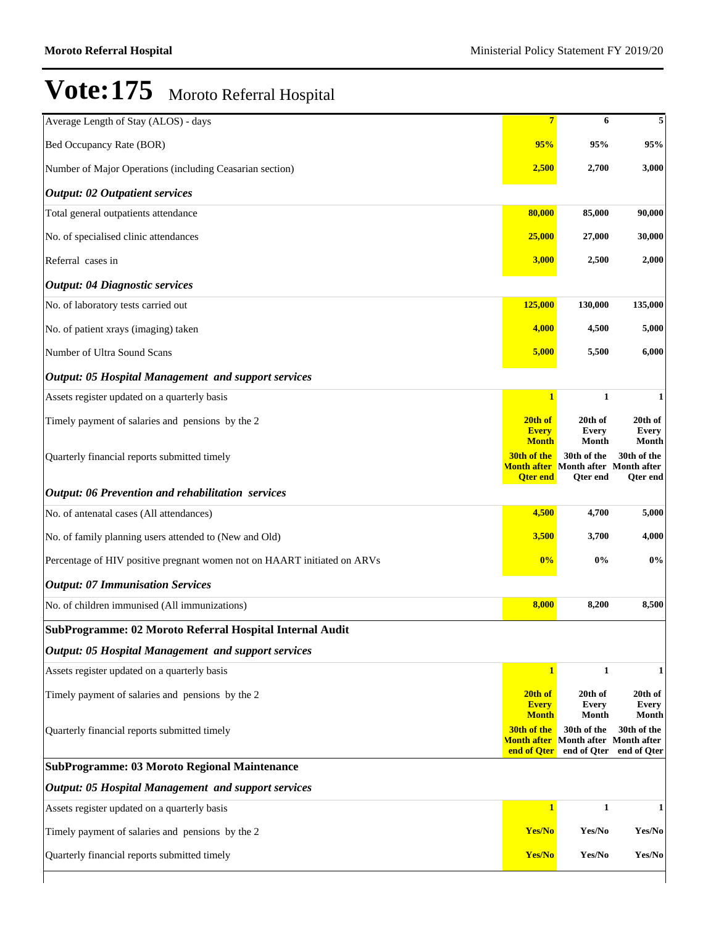| Average Length of Stay (ALOS) - days                                     | $7\phantom{.}$                    | 6                                                                            | 5                              |
|--------------------------------------------------------------------------|-----------------------------------|------------------------------------------------------------------------------|--------------------------------|
| Bed Occupancy Rate (BOR)                                                 | 95%                               | 95%                                                                          | 95%                            |
| Number of Major Operations (including Ceasarian section)                 | 2,500                             | 2,700                                                                        | 3,000                          |
| <b>Output: 02 Outpatient services</b>                                    |                                   |                                                                              |                                |
| Total general outpatients attendance                                     | 80,000                            | 85,000                                                                       | 90,000                         |
| No. of specialised clinic attendances                                    | 25,000                            | 27,000                                                                       | 30,000                         |
| Referral cases in                                                        | 3,000                             | 2,500                                                                        | 2,000                          |
| <b>Output: 04 Diagnostic services</b>                                    |                                   |                                                                              |                                |
| No. of laboratory tests carried out                                      | 125,000                           | 130,000                                                                      | 135,000                        |
| No. of patient xrays (imaging) taken                                     | 4,000                             | 4,500                                                                        | 5,000                          |
| Number of Ultra Sound Scans                                              | 5,000                             | 5,500                                                                        | 6,000                          |
| <b>Output: 05 Hospital Management and support services</b>               |                                   |                                                                              |                                |
| Assets register updated on a quarterly basis                             | $\mathbf{1}$                      | $\mathbf{1}$                                                                 | 1                              |
| Timely payment of salaries and pensions by the 2                         | 20th of<br><b>Every</b>           | 20th of<br><b>Every</b>                                                      | 20th of                        |
|                                                                          | <b>Month</b>                      | Month                                                                        | Every<br>Month                 |
| Quarterly financial reports submitted timely                             | 30th of the<br><b>Qter end</b>    | 30th of the<br><b>Month after</b> Month after Month after<br><b>Qter end</b> | 30th of the<br><b>Qter</b> end |
| <b>Output: 06 Prevention and rehabilitation services</b>                 |                                   |                                                                              |                                |
| No. of antenatal cases (All attendances)                                 | 4,500                             | 4,700                                                                        | 5,000                          |
| No. of family planning users attended to (New and Old)                   | 3,500                             | 3,700                                                                        | 4,000                          |
| Percentage of HIV positive pregnant women not on HAART initiated on ARVs | 0%                                | $0\%$                                                                        | $0\%$                          |
| <b>Output: 07 Immunisation Services</b>                                  |                                   |                                                                              |                                |
| No. of children immunised (All immunizations)                            | 8,000                             | 8,200                                                                        | 8,500                          |
| SubProgramme: 02 Moroto Referral Hospital Internal Audit                 |                                   |                                                                              |                                |
| <b>Output: 05 Hospital Management and support services</b>               |                                   |                                                                              |                                |
| Assets register updated on a quarterly basis                             | $\mathbf{1}$                      | $\mathbf{1}$                                                                 | 1                              |
| Timely payment of salaries and pensions by the 2                         | 20th of<br><b>Every</b>           | 20th of<br>Every                                                             | 20th of<br><b>Every</b>        |
| Quarterly financial reports submitted timely                             | <b>Month</b><br>30th of the       | Month<br>30th of the                                                         | Month<br>30th of the           |
|                                                                          | <b>Month after</b><br>end of Oter | Month after Month after<br>end of Qter                                       | end of Qter                    |
| <b>SubProgramme: 03 Moroto Regional Maintenance</b>                      |                                   |                                                                              |                                |
| <b>Output: 05 Hospital Management and support services</b>               |                                   |                                                                              |                                |
| Assets register updated on a quarterly basis                             | $\mathbf{1}$                      | 1                                                                            | 1                              |
| Timely payment of salaries and pensions by the 2                         | Yes/No                            | Yes/No                                                                       | Yes/No                         |
| Quarterly financial reports submitted timely                             |                                   |                                                                              |                                |
|                                                                          | Yes/No                            | Yes/No                                                                       | Yes/No                         |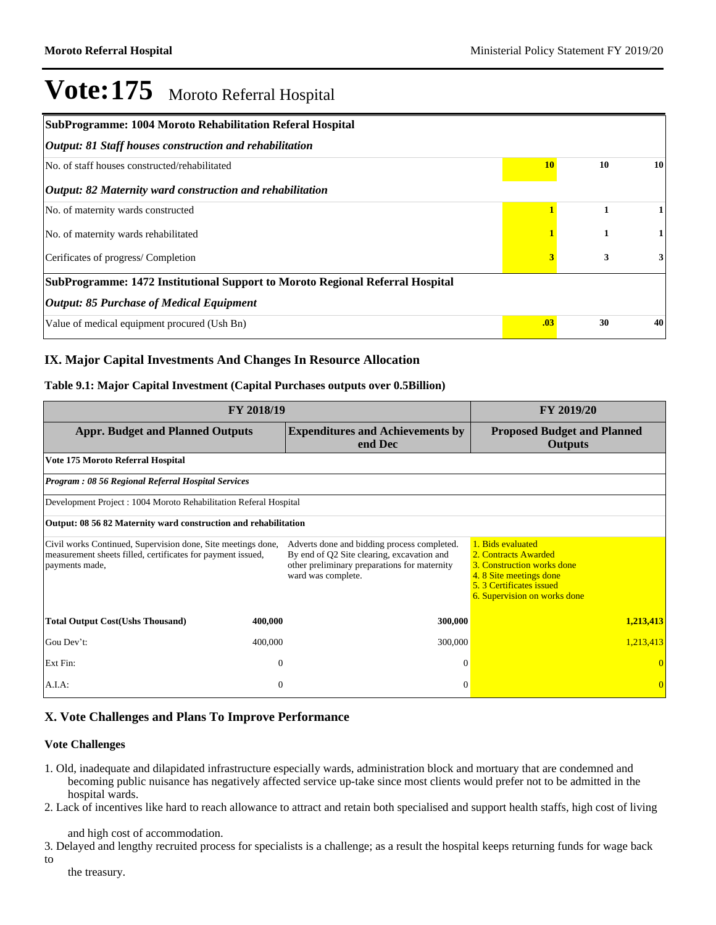| SubProgramme: 1004 Moroto Rehabilitation Referal Hospital                     |     |    |              |  |  |  |
|-------------------------------------------------------------------------------|-----|----|--------------|--|--|--|
| Output: 81 Staff houses construction and rehabilitation                       |     |    |              |  |  |  |
| No. of staff houses constructed/rehabilitated                                 | 10  | 10 | 10           |  |  |  |
| Output: 82 Maternity ward construction and rehabilitation                     |     |    |              |  |  |  |
| No. of maternity wards constructed                                            |     | 1  |              |  |  |  |
| No. of maternity wards rehabilitated                                          |     | 1  |              |  |  |  |
| Cerificates of progress/Completion                                            |     | 3  | $\mathbf{3}$ |  |  |  |
| SubProgramme: 1472 Institutional Support to Moroto Regional Referral Hospital |     |    |              |  |  |  |
| <b>Output: 85 Purchase of Medical Equipment</b>                               |     |    |              |  |  |  |
| Value of medical equipment procured (Ush Bn)                                  | .03 | 30 | 40           |  |  |  |

### **IX. Major Capital Investments And Changes In Resource Allocation**

#### **Table 9.1: Major Capital Investment (Capital Purchases outputs over 0.5Billion)**

|                                                                                                                                               | FY 2019/20 |                                                                                                                                                                 |                                                                                                                                                              |  |  |  |
|-----------------------------------------------------------------------------------------------------------------------------------------------|------------|-----------------------------------------------------------------------------------------------------------------------------------------------------------------|--------------------------------------------------------------------------------------------------------------------------------------------------------------|--|--|--|
| <b>Appr. Budget and Planned Outputs</b>                                                                                                       |            | <b>Expenditures and Achievements by</b><br>end Dec                                                                                                              | <b>Proposed Budget and Planned</b><br><b>Outputs</b>                                                                                                         |  |  |  |
| Vote 175 Moroto Referral Hospital                                                                                                             |            |                                                                                                                                                                 |                                                                                                                                                              |  |  |  |
| Program: 08 56 Regional Referral Hospital Services                                                                                            |            |                                                                                                                                                                 |                                                                                                                                                              |  |  |  |
| Development Project : 1004 Moroto Rehabilitation Referal Hospital                                                                             |            |                                                                                                                                                                 |                                                                                                                                                              |  |  |  |
| Output: 08 56 82 Maternity ward construction and rehabilitation                                                                               |            |                                                                                                                                                                 |                                                                                                                                                              |  |  |  |
| Civil works Continued, Supervision done, Site meetings done,<br>measurement sheets filled, certificates for payment issued,<br>payments made, |            | Adverts done and bidding process completed.<br>By end of Q2 Site clearing, excavation and<br>other preliminary preparations for maternity<br>ward was complete. | 1. Bids evaluated<br>2. Contracts Awarded<br>3. Construction works done<br>4.8 Site meetings done<br>5.3 Certificates issued<br>6. Supervision on works done |  |  |  |
| <b>Total Output Cost(Ushs Thousand)</b>                                                                                                       | 400,000    | 300,000                                                                                                                                                         | 1,213,413                                                                                                                                                    |  |  |  |
| Gou Dev't:                                                                                                                                    | 400,000    | 300,000                                                                                                                                                         | 1,213,413                                                                                                                                                    |  |  |  |
| Ext Fin:                                                                                                                                      | $\theta$   | $\Omega$                                                                                                                                                        |                                                                                                                                                              |  |  |  |
| A.I.A:                                                                                                                                        | $\theta$   | $\Omega$                                                                                                                                                        | $\Omega$                                                                                                                                                     |  |  |  |

### **X. Vote Challenges and Plans To Improve Performance**

#### **Vote Challenges**

- 1. Old, inadequate and dilapidated infrastructure especially wards, administration block and mortuary that are condemned and becoming public nuisance has negatively affected service up-take since most clients would prefer not to be admitted in the hospital wards.
- 2. Lack of incentives like hard to reach allowance to attract and retain both specialised and support health staffs, high cost of living

and high cost of accommodation.

- 3. Delayed and lengthy recruited process for specialists is a challenge; as a result the hospital keeps returning funds for wage back to
	- the treasury.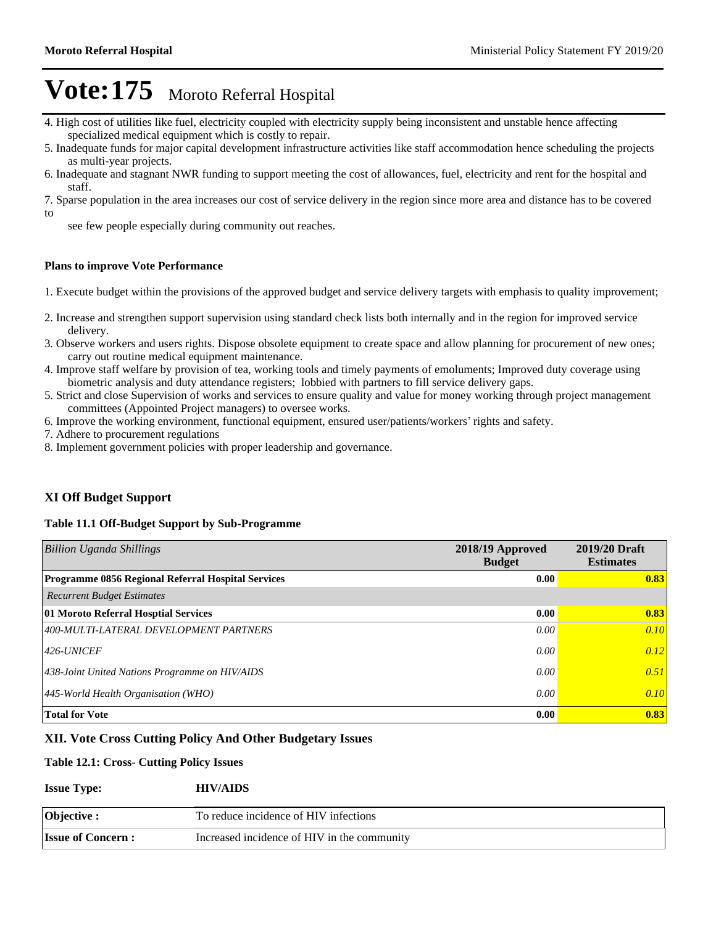- 4. High cost of utilities like fuel, electricity coupled with electricity supply being inconsistent and unstable hence affecting specialized medical equipment which is costly to repair.
- 5. Inadequate funds for major capital development infrastructure activities like staff accommodation hence scheduling the projects as multi-year projects.
- 6. Inadequate and stagnant NWR funding to support meeting the cost of allowances, fuel, electricity and rent for the hospital and staff.

7. Sparse population in the area increases our cost of service delivery in the region since more area and distance has to be covered to

see few people especially during community out reaches.

#### **Plans to improve Vote Performance**

- 1. Execute budget within the provisions of the approved budget and service delivery targets with emphasis to quality improvement;
- 2. Increase and strengthen support supervision using standard check lists both internally and in the region for improved service delivery.
- 3. Observe workers and users rights. Dispose obsolete equipment to create space and allow planning for procurement of new ones; carry out routine medical equipment maintenance.
- 4. Improve staff welfare by provision of tea, working tools and timely payments of emoluments; Improved duty coverage using biometric analysis and duty attendance registers; lobbied with partners to fill service delivery gaps.
- 5. Strict and close Supervision of works and services to ensure quality and value for money working through project management committees (Appointed Project managers) to oversee works.
- 6. Improve the working environment, functional equipment, ensured user/patients/workers' rights and safety.
- 7. Adhere to procurement regulations
- 8. Implement government policies with proper leadership and governance.

#### **XI Off Budget Support**

#### **Table 11.1 Off-Budget Support by Sub-Programme**

| <b>Billion Uganda Shillings</b>                    | 2018/19 Approved<br><b>Budget</b> | 2019/20 Draft<br><b>Estimates</b> |
|----------------------------------------------------|-----------------------------------|-----------------------------------|
| Programme 0856 Regional Referral Hospital Services | 0.00                              | 0.83                              |
| <b>Recurrent Budget Estimates</b>                  |                                   |                                   |
| 01 Moroto Referral Hosptial Services               | 0.00                              | 0.83                              |
| 400-MULTI-LATERAL DEVELOPMENT PARTNERS             | 0.00                              | 0.10                              |
| $ 426$ -UNICEF                                     | 0.00                              | 0.12                              |
| 438-Joint United Nations Programme on HIV/AIDS     | 0.00                              | 0.51                              |
| $ 445$ -World Health Organisation (WHO)            | 0.00                              | 0.10                              |
| <b>Total for Vote</b>                              | 0.00                              | 0.83                              |

#### **XII. Vote Cross Cutting Policy And Other Budgetary Issues**

#### **Table 12.1: Cross- Cutting Policy Issues**

| <b>Issue Type:</b>       | <b>HIV/AIDS</b>                             |
|--------------------------|---------------------------------------------|
| Objective :              | To reduce incidence of HIV infections       |
| <b>Issue of Concern:</b> | Increased incidence of HIV in the community |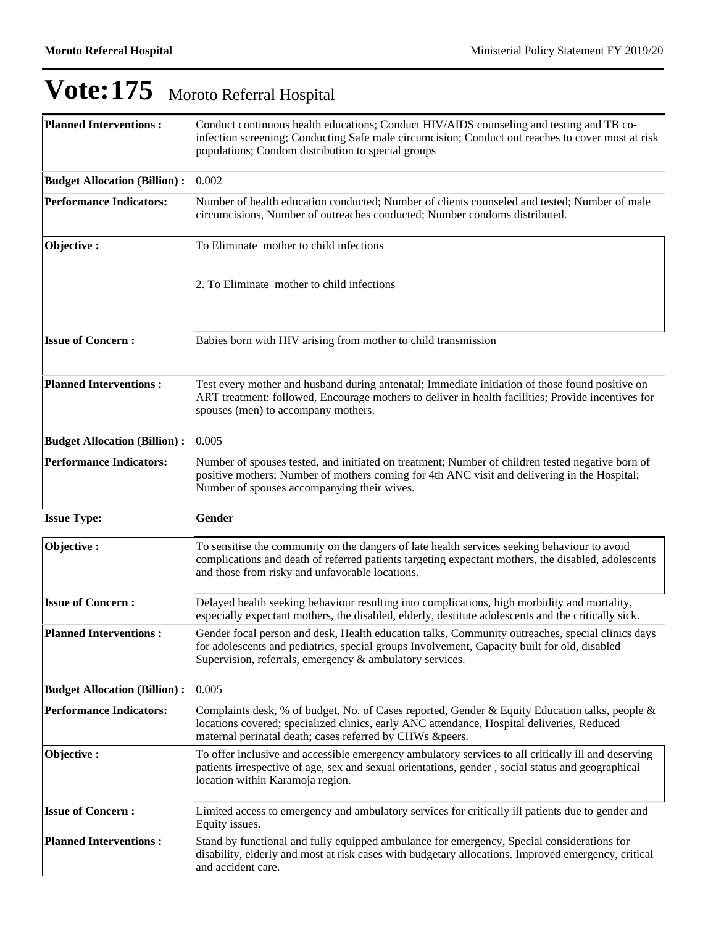| <b>Planned Interventions:</b>       | Conduct continuous health educations; Conduct HIV/AIDS counseling and testing and TB co-<br>infection screening; Conducting Safe male circumcision; Conduct out reaches to cover most at risk<br>populations; Condom distribution to special groups          |
|-------------------------------------|--------------------------------------------------------------------------------------------------------------------------------------------------------------------------------------------------------------------------------------------------------------|
| <b>Budget Allocation (Billion):</b> | 0.002                                                                                                                                                                                                                                                        |
| <b>Performance Indicators:</b>      | Number of health education conducted; Number of clients counseled and tested; Number of male<br>circumcisions, Number of outreaches conducted; Number condoms distributed.                                                                                   |
| Objective:                          | To Eliminate mother to child infections                                                                                                                                                                                                                      |
|                                     | 2. To Eliminate mother to child infections                                                                                                                                                                                                                   |
| <b>Issue of Concern:</b>            | Babies born with HIV arising from mother to child transmission                                                                                                                                                                                               |
| <b>Planned Interventions:</b>       | Test every mother and husband during antenatal; Immediate initiation of those found positive on<br>ART treatment: followed, Encourage mothers to deliver in health facilities; Provide incentives for<br>spouses (men) to accompany mothers.                 |
| <b>Budget Allocation (Billion):</b> | 0.005                                                                                                                                                                                                                                                        |
| <b>Performance Indicators:</b>      | Number of spouses tested, and initiated on treatment; Number of children tested negative born of<br>positive mothers; Number of mothers coming for 4th ANC visit and delivering in the Hospital;<br>Number of spouses accompanying their wives.              |
| <b>Issue Type:</b>                  | Gender                                                                                                                                                                                                                                                       |
| Objective:                          | To sensitise the community on the dangers of late health services seeking behaviour to avoid<br>complications and death of referred patients targeting expectant mothers, the disabled, adolescents<br>and those from risky and unfavorable locations.       |
| <b>Issue of Concern:</b>            |                                                                                                                                                                                                                                                              |
|                                     | Delayed health seeking behaviour resulting into complications, high morbidity and mortality,<br>especially expectant mothers, the disabled, elderly, destitute adolescents and the critically sick.                                                          |
| <b>Planned Interventions:</b>       | Gender focal person and desk, Health education talks, Community outreaches, special clinics days<br>for adolescents and pediatrics, special groups Involvement, Capacity built for old, disabled<br>Supervision, referrals, emergency & ambulatory services. |
| <b>Budget Allocation (Billion):</b> | 0.005                                                                                                                                                                                                                                                        |
| <b>Performance Indicators:</b>      | Complaints desk, % of budget, No. of Cases reported, Gender & Equity Education talks, people &<br>locations covered; specialized clinics, early ANC attendance, Hospital deliveries, Reduced<br>maternal perinatal death; cases referred by CHWs &peers.     |
| Objective:                          | To offer inclusive and accessible emergency ambulatory services to all critically ill and deserving<br>patients irrespective of age, sex and sexual orientations, gender, social status and geographical<br>location within Karamoja region.                 |
| <b>Issue of Concern:</b>            | Limited access to emergency and ambulatory services for critically ill patients due to gender and<br>Equity issues.                                                                                                                                          |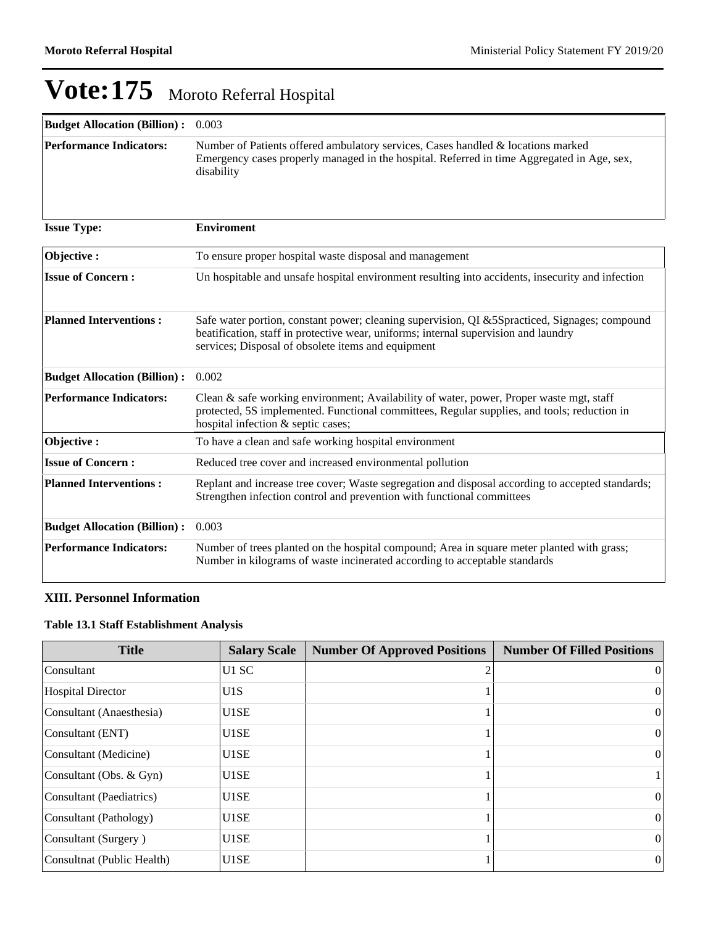| <b>Budget Allocation (Billion):</b> | 0.003                                                                                                                                                                                                                                      |
|-------------------------------------|--------------------------------------------------------------------------------------------------------------------------------------------------------------------------------------------------------------------------------------------|
| <b>Performance Indicators:</b>      | Number of Patients offered ambulatory services, Cases handled & locations marked<br>Emergency cases properly managed in the hospital. Referred in time Aggregated in Age, sex,<br>disability                                               |
| <b>Issue Type:</b>                  | <b>Enviroment</b>                                                                                                                                                                                                                          |
| Objective:                          | To ensure proper hospital waste disposal and management                                                                                                                                                                                    |
| <b>Issue of Concern:</b>            | Un hospitable and unsafe hospital environment resulting into accidents, insecurity and infection                                                                                                                                           |
| <b>Planned Interventions:</b>       | Safe water portion, constant power; cleaning supervision, QI &5Spracticed, Signages; compound<br>beatification, staff in protective wear, uniforms; internal supervision and laundry<br>services; Disposal of obsolete items and equipment |
| <b>Budget Allocation (Billion):</b> | 0.002                                                                                                                                                                                                                                      |
| <b>Performance Indicators:</b>      | Clean & safe working environment; Availability of water, power, Proper waste mgt, staff<br>protected, 5S implemented. Functional committees, Regular supplies, and tools; reduction in<br>hospital infection & septic cases;               |
| Objective:                          | To have a clean and safe working hospital environment                                                                                                                                                                                      |
| <b>Issue of Concern:</b>            | Reduced tree cover and increased environmental pollution                                                                                                                                                                                   |
| <b>Planned Interventions:</b>       | Replant and increase tree cover; Waste segregation and disposal according to accepted standards;<br>Strengthen infection control and prevention with functional committees                                                                 |
| <b>Budget Allocation (Billion):</b> | 0.003                                                                                                                                                                                                                                      |
| <b>Performance Indicators:</b>      | Number of trees planted on the hospital compound; Area in square meter planted with grass;<br>Number in kilograms of waste incinerated according to acceptable standards                                                                   |

### **XIII. Personnel Information**

### **Table 13.1 Staff Establishment Analysis**

| <b>Title</b>               | <b>Salary Scale</b> | <b>Number Of Approved Positions</b> | <b>Number Of Filled Positions</b> |
|----------------------------|---------------------|-------------------------------------|-----------------------------------|
| Consultant                 | U1 SC               |                                     | $\left($                          |
| Hospital Director          | U1S                 |                                     | $\theta$                          |
| Consultant (Anaesthesia)   | U1SE                |                                     | $\theta$                          |
| Consultant (ENT)           | U1SE                |                                     | $\Omega$                          |
| Consultant (Medicine)      | U1SE                |                                     | $\theta$                          |
| Consultant (Obs. & Gyn)    | U1SE                |                                     |                                   |
| Consultant (Paediatrics)   | U1SE                |                                     | $\theta$                          |
| Consultant (Pathology)     | U1SE                |                                     | $\Omega$                          |
| Consultant (Surgery)       | U1SE                |                                     | $\Omega$                          |
| Consultnat (Public Health) | U1SE                |                                     | $\theta$                          |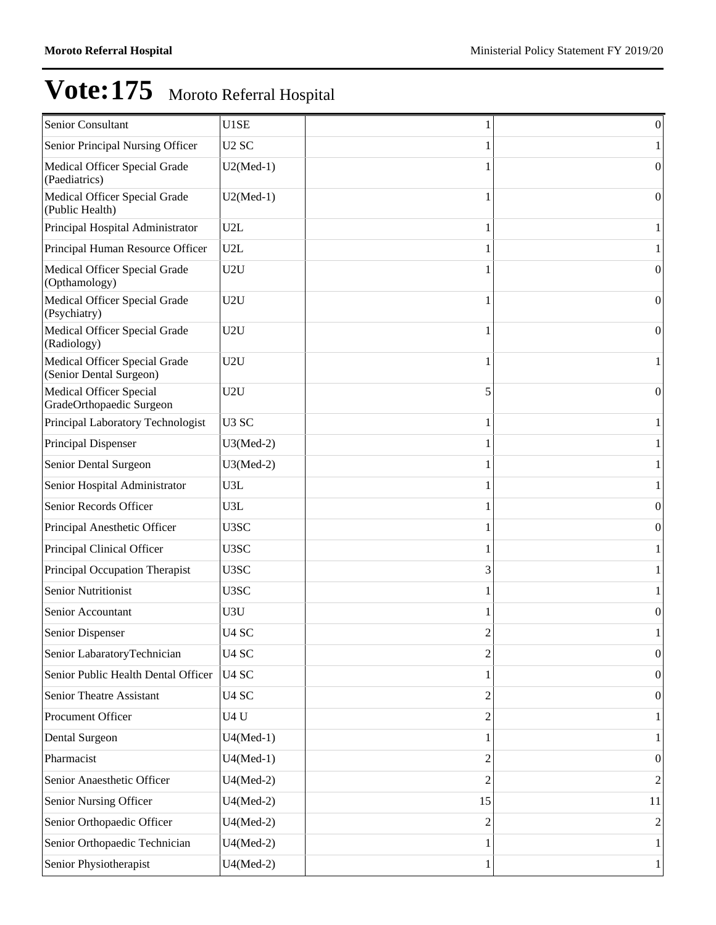| Senior Consultant                                          | U1SE              |                | $\theta$       |
|------------------------------------------------------------|-------------------|----------------|----------------|
| Senior Principal Nursing Officer                           | U <sub>2</sub> SC |                |                |
| Medical Officer Special Grade<br>(Paediatrics)             | $U2(Med-1)$       |                | 0              |
| Medical Officer Special Grade<br>(Public Health)           | $U2(Med-1)$       |                | $\Omega$       |
| Principal Hospital Administrator                           | U2L               |                |                |
| Principal Human Resource Officer                           | U2L               |                |                |
| Medical Officer Special Grade<br>(Opthamology)             | U2U               |                | $\Omega$       |
| Medical Officer Special Grade<br>(Psychiatry)              | U2U               |                | 0              |
| Medical Officer Special Grade<br>(Radiology)               | U2U               | 1              | $\Omega$       |
| Medical Officer Special Grade<br>(Senior Dental Surgeon)   | U2U               |                |                |
| <b>Medical Officer Special</b><br>GradeOrthopaedic Surgeon | U2U               | 5              | $\Omega$       |
| Principal Laboratory Technologist                          | U <sub>3</sub> SC | 1              |                |
| Principal Dispenser                                        | $U3(Med-2)$       |                |                |
| Senior Dental Surgeon                                      | $U3(Med-2)$       |                |                |
| Senior Hospital Administrator                              | U3L               |                |                |
| Senior Records Officer                                     | U3L               |                | $\Omega$       |
| Principal Anesthetic Officer                               | U3SC              |                | $\theta$       |
| Principal Clinical Officer                                 | U3SC              |                |                |
| Principal Occupation Therapist                             | U3SC              | 3              |                |
| <b>Senior Nutritionist</b>                                 | U3SC              |                |                |
| Senior Accountant                                          | U3U               |                | $\theta$       |
| Senior Dispenser                                           | U <sub>4</sub> SC | ∠              |                |
| Senior LabaratoryTechnician                                | U <sub>4</sub> SC | $\overline{c}$ | $\theta$       |
| Senior Public Health Dental Officer                        | U <sub>4</sub> SC |                | $\Omega$       |
| Senior Theatre Assistant                                   | U <sub>4</sub> SC | 2              | $\theta$       |
| Procument Officer                                          | U4U               | 2              |                |
| Dental Surgeon                                             | $U4(Med-1)$       |                |                |
| Pharmacist                                                 | $U4(Med-1)$       | 2              | $\theta$       |
| Senior Anaesthetic Officer                                 | $U4(Med-2)$       | $\overline{c}$ | $\overline{2}$ |
| Senior Nursing Officer                                     | $U4(Med-2)$       | 15             | 11             |
| Senior Orthopaedic Officer                                 | $U4(Med-2)$       | 2              | 2              |
| Senior Orthopaedic Technician                              | $U4(Med-2)$       |                |                |
| Senior Physiotherapist                                     | $U4(Med-2)$       | 1              |                |
|                                                            |                   |                |                |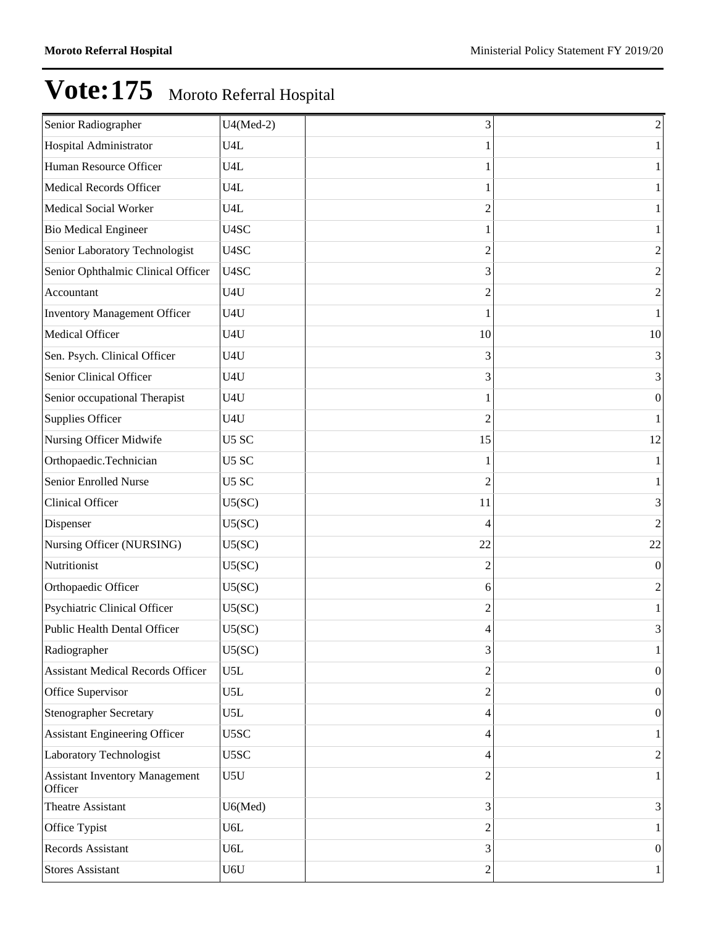| Senior Radiographer                              | $U4(Med-2)$      | 3              | $\sqrt{2}$       |
|--------------------------------------------------|------------------|----------------|------------------|
| Hospital Administrator                           | U <sub>4</sub> L |                | $\mathbf{1}$     |
| Human Resource Officer                           | U4L              |                | $\mathbf{1}$     |
| <b>Medical Records Officer</b>                   | U4L              |                | $\mathbf{1}$     |
| <b>Medical Social Worker</b>                     | U4L              | $\overline{c}$ | $\mathbf{1}$     |
| <b>Bio Medical Engineer</b>                      | U4SC             |                | $\mathbf{1}$     |
| Senior Laboratory Technologist                   | U4SC             | $\overline{c}$ | $\overline{2}$   |
| Senior Ophthalmic Clinical Officer               | U4SC             | 3              | $\sqrt{2}$       |
| Accountant                                       | U4U              | 2              | $\overline{2}$   |
| <b>Inventory Management Officer</b>              | U4U              |                | $\mathbf{1}$     |
| Medical Officer                                  | U4U              | 10             | 10               |
| Sen. Psych. Clinical Officer                     | U4U              | 3              | 3                |
| Senior Clinical Officer                          | U4U              | 3              | 3                |
| Senior occupational Therapist                    | U4U              |                | $\boldsymbol{0}$ |
| Supplies Officer                                 | U4U              | $\overline{c}$ | $\mathbf{1}$     |
| Nursing Officer Midwife                          | U5 SC            | 15             | 12               |
| Orthopaedic.Technician                           | U5 SC            |                | $\mathbf{1}$     |
| Senior Enrolled Nurse                            | U5 SC            | 2              | $\mathbf{1}$     |
| Clinical Officer                                 | U5(SC)           | 11             | 3                |
| Dispenser                                        | U5(SC)           | 4              | $\sqrt{2}$       |
| Nursing Officer (NURSING)                        | U5(SC)           | 22             | $22\,$           |
| Nutritionist                                     | U5(SC)           | 2              | $\boldsymbol{0}$ |
| Orthopaedic Officer                              | U5(SC)           | 6              | $\sqrt{2}$       |
| Psychiatric Clinical Officer                     | U5(SC)           | 2              | $\mathbf{1}$     |
| Public Health Dental Officer                     | U5(SC)           | 4              | 3                |
| Radiographer                                     | U5(SC)           | 3              | $\mathbf{1}$     |
| <b>Assistant Medical Records Officer</b>         | U5L              | 2              | $\boldsymbol{0}$ |
| Office Supervisor                                | U5L              | 2              | $\boldsymbol{0}$ |
| <b>Stenographer Secretary</b>                    | U5L              | 4              | $\boldsymbol{0}$ |
| <b>Assistant Engineering Officer</b>             | U5SC             | 4              | $\mathbf{1}$     |
| Laboratory Technologist                          | U5SC             | 4              | $\sqrt{2}$       |
| <b>Assistant Inventory Management</b><br>Officer | U5U              | 2              | $\mathbf{1}$     |
| Theatre Assistant                                | U6(Med)          | 3              | 3                |
| Office Typist                                    | U6L              | 2              | $\mathbf{1}$     |
| Records Assistant                                | U6L              | 3              | $\boldsymbol{0}$ |
| <b>Stores Assistant</b>                          | U6U              | 2              | $\mathbf{1}$     |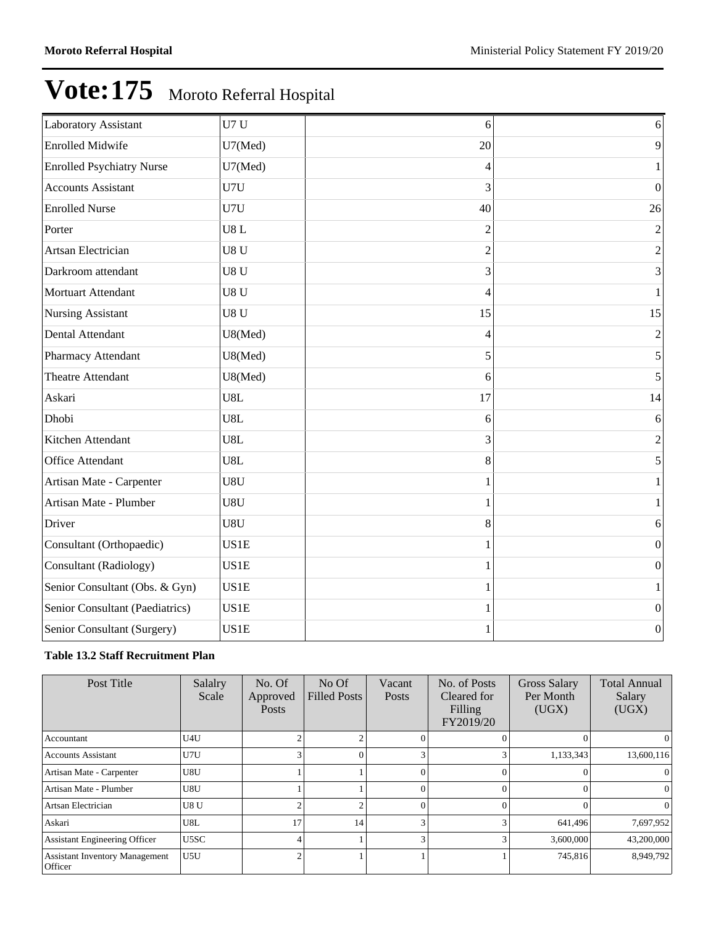| 6 <sup>1</sup><br>9 |
|---------------------|
|                     |
|                     |
| 1                   |
| $\boldsymbol{0}$    |
| 26                  |
| $\overline{2}$      |
| $\overline{c}$      |
| 3                   |
| $\mathbf{1}$        |
| 15                  |
| $\overline{2}$      |
| 5                   |
| 5                   |
| 14                  |
| 6                   |
| $\overline{2}$      |
| 5                   |
|                     |
|                     |
| 6                   |
| $\boldsymbol{0}$    |
| $\boldsymbol{0}$    |
| 1                   |
| $\vert 0 \vert$     |
| $\boldsymbol{0}$    |
|                     |

### **Table 13.2 Staff Recruitment Plan**

| Post Title                                              | Salalry<br>Scale | No. Of<br>Approved<br><b>Posts</b> | $No$ Of<br><b>Filled Posts</b> | Vacant<br><b>Posts</b> | No. of Posts<br>Cleared for<br>Filling<br>FY2019/20 | <b>Gross Salary</b><br>Per Month<br>(UGX) | <b>Total Annual</b><br>Salary<br>(UGX) |
|---------------------------------------------------------|------------------|------------------------------------|--------------------------------|------------------------|-----------------------------------------------------|-------------------------------------------|----------------------------------------|
| Accountant                                              | U4U              |                                    |                                |                        |                                                     |                                           | $\theta$                               |
| <b>Accounts Assistant</b>                               | U7U              |                                    | 0                              |                        |                                                     | 1,133,343                                 | 13,600,116                             |
| Artisan Mate - Carpenter                                | U8U              |                                    |                                |                        |                                                     |                                           | $\Omega$                               |
| Artisan Mate - Plumber                                  | U8U              |                                    |                                |                        |                                                     |                                           | 0                                      |
| Artsan Electrician                                      | U8 <sub>U</sub>  | ◠                                  | $\overline{2}$                 |                        |                                                     |                                           | $\Omega$                               |
| Askari                                                  | U8L              | 17                                 | 14                             |                        |                                                     | 641,496                                   | 7,697,952                              |
| <b>Assistant Engineering Officer</b>                    | U5SC             | 4                                  |                                |                        |                                                     | 3,600,000                                 | 43,200,000                             |
| <b>Assistant Inventory Management</b><br><b>Officer</b> | U <sub>5U</sub>  | $\mathcal{L}$                      |                                |                        |                                                     | 745,816                                   | 8,949,792                              |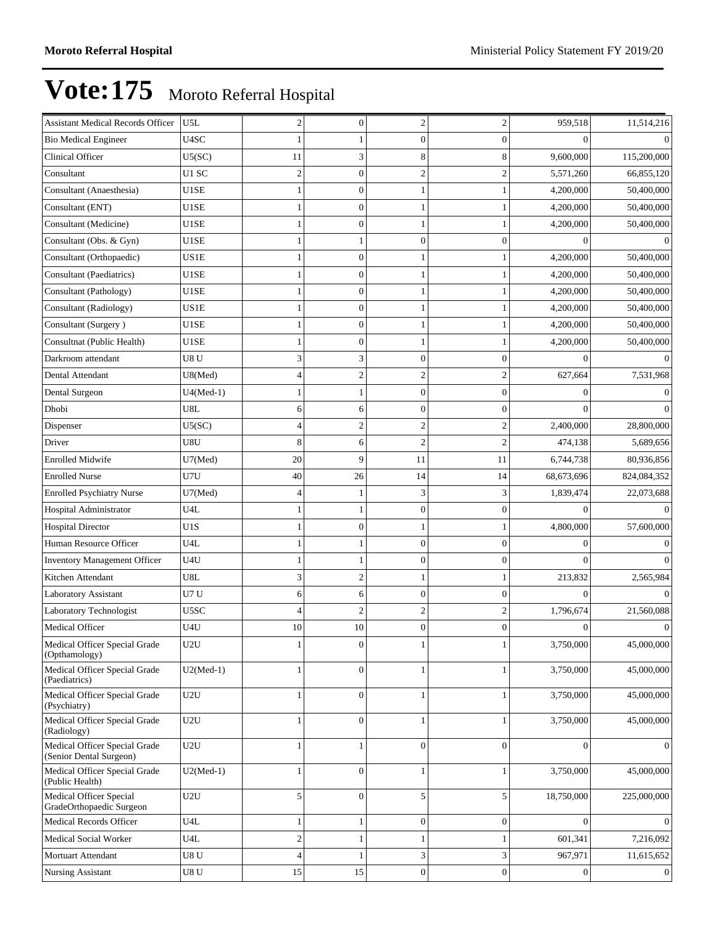| <b>Assistant Medical Records Officer</b>                 | U5L              | $\overline{\mathbf{c}}$ | $\boldsymbol{0}$ | 2                | 2                | 959,518          | 11,514,216     |
|----------------------------------------------------------|------------------|-------------------------|------------------|------------------|------------------|------------------|----------------|
| <b>Bio Medical Engineer</b>                              | U4SC             |                         |                  | $\boldsymbol{0}$ | $\Omega$         | $\Omega$         | $\Omega$       |
| Clinical Officer                                         | U5(SC)           | 11                      | 3                | 8                |                  | 9,600,000        | 115,200,000    |
| Consultant                                               | U1 SC            | $\overline{c}$          | $\boldsymbol{0}$ | $\mathfrak{2}$   |                  | 5,571,260        | 66,855,120     |
| Consultant (Anaesthesia)                                 | U1SE             | 1                       | $\overline{0}$   |                  |                  | 4,200,000        | 50,400,000     |
| Consultant (ENT)                                         | U1SE             | 1                       | $\boldsymbol{0}$ | 1                |                  | 4,200,000        | 50,400,000     |
| Consultant (Medicine)                                    | U1SE             | 1                       | $\overline{0}$   |                  |                  | 4,200,000        | 50,400,000     |
| Consultant (Obs. & Gyn)                                  | U1SE             | 1                       |                  | $\overline{0}$   |                  | $\Omega$         | $\Omega$       |
| Consultant (Orthopaedic)                                 | US1E             |                         | $\boldsymbol{0}$ |                  |                  | 4,200,000        | 50,400,000     |
| Consultant (Paediatrics)                                 | U1SE             | 1                       | $\overline{0}$   |                  |                  | 4,200,000        | 50,400,000     |
| Consultant (Pathology)                                   | U1SE             | 1                       | $\boldsymbol{0}$ | 1                |                  | 4,200,000        | 50,400,000     |
| Consultant (Radiology)                                   | US1E             | 1                       | $\overline{0}$   |                  |                  | 4,200,000        | 50,400,000     |
| Consultant (Surgery)                                     | U1SE             | 1                       | $\mathbf{0}$     |                  |                  | 4,200,000        | 50,400,000     |
| Consultnat (Public Health)                               | U1SE             | 1                       | $\boldsymbol{0}$ |                  |                  | 4,200,000        | 50,400,000     |
| Darkroom attendant                                       | U8U              | 3                       | 3                | $\mathbf{0}$     | $\Omega$         | $\Omega$         | $\Omega$       |
| Dental Attendant                                         | U8(Med)          | 4                       | $\overline{c}$   | $\mathfrak{2}$   | $\overline{c}$   | 627,664          | 7,531,968      |
| Dental Surgeon                                           | $U4(Med-1)$      | 1                       | 1                | $\overline{0}$   | $\theta$         | $\theta$         | $\Omega$       |
| Dhobi                                                    | U8L              | 6                       | 6                | $\overline{0}$   | $\theta$         | $\Omega$         | $\Omega$       |
| Dispenser                                                | U5(SC)           | 4                       | $\overline{2}$   | $\overline{2}$   |                  | 2,400,000        | 28,800,000     |
| Driver                                                   | U8U              | 8                       | 6                | $\mathfrak{2}$   | $\overline{c}$   | 474,138          | 5,689,656      |
| <b>Enrolled Midwife</b>                                  | U7(Med)          | 20                      | 9                | 11               | 11               | 6,744,738        | 80,936,856     |
| <b>Enrolled Nurse</b>                                    | U7U              | 40                      | 26               | 14               | 14               | 68,673,696       | 824,084,352    |
| <b>Enrolled Psychiatry Nurse</b>                         | U7(Med)          | 4                       |                  | 3                | 3                | 1,839,474        | 22,073,688     |
| Hospital Administrator                                   | U4L              | 1                       |                  | $\mathbf{0}$     | $\mathbf{0}$     | $\theta$         | $\Omega$       |
| <b>Hospital Director</b>                                 | U <sub>1</sub> S | 1                       | $\boldsymbol{0}$ | 1                |                  | 4,800,000        | 57,600,000     |
| Human Resource Officer                                   | U4L              | 1                       |                  | $\mathbf{0}$     | $\mathbf{0}$     | $\overline{0}$   | $\Omega$       |
| Inventory Management Officer                             | U4U              | 1                       | 1                | $\overline{0}$   | $\theta$         | $\Omega$         | $\Omega$       |
| Kitchen Attendant                                        | U8L              | 3                       | $\mathfrak{2}$   | 1                |                  | 213,832          | 2,565,984      |
| Laboratory Assistant                                     | U7U              | 6                       | 6                | $\mathbf{0}$     | $\mathbf{0}$     | $\theta$         | $\Omega$       |
| Laboratory Technologist                                  | U5SC             | 4                       | $\overline{c}$   | $\mathfrak{2}$   | $\overline{c}$   | 1,796,674        | 21,560,088     |
| Medical Officer                                          | U4U              | 10                      | 10               | $\mathbf{0}$     | $\Omega$         | $\overline{0}$   | $\mathbf{0}$   |
| Medical Officer Special Grade<br>(Opthamology)           | U2U              | 1                       | $\boldsymbol{0}$ | 1                | 1                | 3,750,000        | 45,000,000     |
| Medical Officer Special Grade<br>(Paediatrics)           | $U2(Med-1)$      | 1                       | $\mathbf{0}$     |                  |                  | 3,750,000        | 45,000,000     |
| Medical Officer Special Grade<br>(Psychiatry)            | U2U              | $\mathbf{1}$            | $\overline{0}$   | $\mathbf{1}$     |                  | 3,750,000        | 45,000,000     |
| Medical Officer Special Grade<br>(Radiology)             | U2U              | 1                       | $\mathbf{0}$     |                  |                  | 3,750,000        | 45,000,000     |
| Medical Officer Special Grade<br>(Senior Dental Surgeon) | U2U              | 1                       | 1                | $\Omega$         | $\Omega$         | $\Omega$         | $\overline{0}$ |
| Medical Officer Special Grade<br>(Public Health)         | $U2(Med-1)$      | 1                       | $\boldsymbol{0}$ | 1                |                  | 3,750,000        | 45,000,000     |
| Medical Officer Special<br>GradeOrthopaedic Surgeon      | U2U              | 5                       | $\overline{0}$   | 5                | 5                | 18,750,000       | 225,000,000    |
| <b>Medical Records Officer</b>                           | U4L              | 1                       | 1                | $\mathbf{0}$     | $\boldsymbol{0}$ | $\overline{0}$   | $\mathbf{0}$   |
| Medical Social Worker                                    | U4L              | $\overline{c}$          | 1                | 1                |                  | 601,341          | 7,216,092      |
| Mortuart Attendant                                       | U8 U             | 4                       | 1                | 3                | 3                | 967,971          | 11,615,652     |
| <b>Nursing Assistant</b>                                 | U8U              | 15                      | 15               | $\boldsymbol{0}$ | $\boldsymbol{0}$ | $\boldsymbol{0}$ | $\mathbf{0}$   |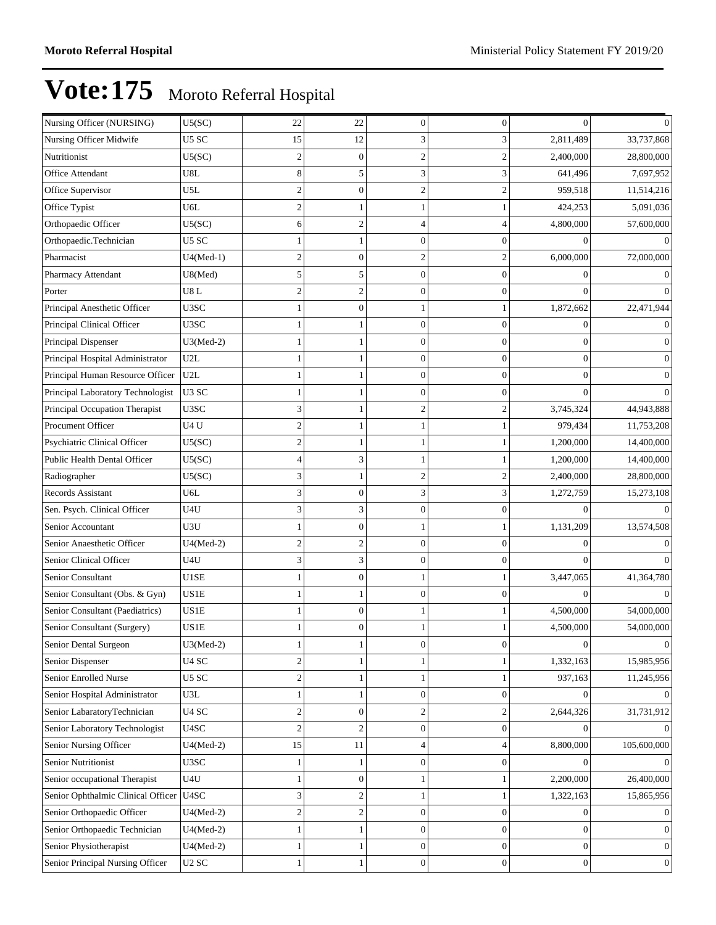| Nursing Officer (NURSING)          | U5(SC)            | $22\,$           | 22               | $\mathbf{0}$     | $\mathbf{0}$     | $\theta$         | $\Omega$         |
|------------------------------------|-------------------|------------------|------------------|------------------|------------------|------------------|------------------|
| Nursing Officer Midwife            | U5 SC             | 15               | 12               | 3                | 3                | 2,811,489        | 33,737,868       |
| Nutritionist                       | U5(SC)            | $\boldsymbol{2}$ | $\boldsymbol{0}$ | $\overline{2}$   | $\overline{c}$   | 2,400,000        | 28,800,000       |
| Office Attendant                   | U8L               | 8                | 5                | 3                | 3                | 641,496          | 7,697,952        |
| Office Supervisor                  | U5L               | $\boldsymbol{2}$ | $\mathbf{0}$     | $\overline{2}$   | $\overline{2}$   | 959,518          | 11,514,216       |
| Office Typist                      | U6L               | $\overline{c}$   | 1                |                  |                  | 424,253          | 5,091,036        |
| Orthopaedic Officer                | U5(SC)            | 6                | $\overline{c}$   | Δ                | 4                | 4,800,000        | 57,600,000       |
| Orthopaedic.Technician             | U5 SC             | -1               | 1                | $\theta$         | $\overline{0}$   | $\Omega$         | $\Omega$         |
| Pharmacist                         | $U4(Med-1)$       | $\overline{c}$   | $\mathbf{0}$     | $\mathfrak{D}$   | $\overline{2}$   | 6,000,000        | 72,000,000       |
| Pharmacy Attendant                 | U8(Med)           | 5                | 5                | $\overline{0}$   | $\overline{0}$   | $\overline{0}$   | $\mathbf{0}$     |
| Porter                             | U8L               | $\mathbf{2}$     | $\overline{c}$   | $\overline{0}$   | $\mathbf{0}$     | $\theta$         | $\Omega$         |
| Principal Anesthetic Officer       | U3SC              | -1               | $\overline{0}$   |                  |                  | 1,872,662        | 22,471,944       |
| Principal Clinical Officer         | U3SC              |                  | 1                | $\theta$         | $\overline{0}$   | $\overline{0}$   | $\Omega$         |
| Principal Dispenser                | $U3(Med-2)$       |                  |                  | $\Omega$         | $\theta$         | $\overline{0}$   | $\mathbf{0}$     |
| Principal Hospital Administrator   | U2L               | -1               | 1                | $\overline{0}$   | $\overline{0}$   | $\boldsymbol{0}$ | $\boldsymbol{0}$ |
| Principal Human Resource Officer   | U2L               | $\mathbf{1}$     | 1                | $\overline{0}$   | $\mathbf{0}$     | $\mathbf{0}$     | $\mathbf{0}$     |
| Principal Laboratory Technologist  | U <sub>3</sub> SC | 1                | 1                | $\overline{0}$   | $\theta$         | $\Omega$         | $\Omega$         |
| Principal Occupation Therapist     | U3SC              | 3                | 1                | $\overline{2}$   | 2                | 3,745,324        | 44,943,888       |
| Procument Officer                  | U4U               | $\overline{c}$   |                  |                  |                  | 979,434          | 11,753,208       |
| Psychiatric Clinical Officer       | U5(SC)            | $\mathbf{2}$     | $\mathbf{1}$     | 1                |                  | 1,200,000        | 14,400,000       |
| Public Health Dental Officer       | U5(SC)            | $\overline{4}$   | 3                |                  |                  | 1,200,000        | 14,400,000       |
| Radiographer                       | U5(SC)            | 3                | 1                | $\overline{c}$   | $\overline{c}$   | 2,400,000        | 28,800,000       |
| <b>Records Assistant</b>           | U6L               | 3                | $\boldsymbol{0}$ | 3                | 3                | 1,272,759        | 15,273,108       |
| Sen. Psych. Clinical Officer       | U4U               | 3                | 3                | O                | $\theta$         | $\Omega$         | $\Omega$         |
| Senior Accountant                  | U3U               | -1               | $\mathbf{0}$     | 1                |                  | 1,131,209        | 13,574,508       |
| Senior Anaesthetic Officer         | $U4(Med-2)$       | $\mathbf{2}$     | $\overline{c}$   | $\overline{0}$   | $\mathbf{0}$     | $\Omega$         | $\Omega$         |
| Senior Clinical Officer            | U4U               | 3                | 3                | $\overline{0}$   | $\theta$         | $\Omega$         | $\Omega$         |
| Senior Consultant                  | U1SE              | -1               | $\boldsymbol{0}$ |                  |                  | 3,447,065        | 41,364,780       |
| Senior Consultant (Obs. & Gyn)     | US1E              |                  |                  | ſ                | 0                | $\Omega$         | $\Omega$         |
| Senior Consultant (Paediatrics)    | US1E              | 1                | $\mathbf{0}$     | 1                |                  | 4,500,000        | 54,000,000       |
| Senior Consultant (Surgery)        | US1E              |                  | $\overline{0}$   |                  |                  | 4,500,000        | 54,000,000       |
| Senior Dental Surgeon              | $U3(Med-2)$       | 1                | $\mathbf{1}$     | 0                | $\boldsymbol{0}$ | $\boldsymbol{0}$ | $\boldsymbol{0}$ |
| Senior Dispenser                   | U <sub>4</sub> SC | $\sqrt{2}$       | 1                |                  |                  | 1,332,163        | 15,985,956       |
| Senior Enrolled Nurse              | U5 SC             | $\overline{c}$   | 1                |                  | 1                | 937,163          | 11,245,956       |
| Senior Hospital Administrator      | U3L               | 1                | $\mathbf{1}$     | $\boldsymbol{0}$ | $\boldsymbol{0}$ | $\Omega$         | $\overline{0}$   |
| Senior LabaratoryTechnician        | $U4$ $\rm{SC}$    | $\overline{c}$   | $\boldsymbol{0}$ | $\overline{2}$   | $\mathfrak{2}$   | 2,644,326        | 31,731,912       |
| Senior Laboratory Technologist     | U4SC              | $\boldsymbol{2}$ | $\overline{c}$   | $\mathbf{0}$     | $\boldsymbol{0}$ | $\overline{0}$   | $\overline{0}$   |
| Senior Nursing Officer             | $U4(Med-2)$       | 15               | 11               | 4                | 4                | 8,800,000        | 105,600,000      |
| Senior Nutritionist                | U3SC              | $\mathbf{1}$     | 1                | $\overline{0}$   | $\overline{0}$   | $\Omega$         | $\Omega$         |
| Senior occupational Therapist      | U4U               | 1                | $\mathbf{0}$     | 1                |                  | 2,200,000        | 26,400,000       |
| Senior Ophthalmic Clinical Officer | U4SC              | 3                | $\boldsymbol{2}$ | 1                |                  | 1,322,163        | 15,865,956       |
| Senior Orthopaedic Officer         | $U4(Med-2)$       | $\boldsymbol{2}$ | $\mathbf{2}$     | $\mathbf{0}$     | $\boldsymbol{0}$ | $\boldsymbol{0}$ | $\boldsymbol{0}$ |
| Senior Orthopaedic Technician      | $U4(Med-2)$       | $\mathbf{1}$     | $\mathbf{1}$     | $\overline{0}$   | $\boldsymbol{0}$ | $\boldsymbol{0}$ | $\boldsymbol{0}$ |
| Senior Physiotherapist             | $U4(Med-2)$       | $\mathbf{1}$     | 1                | $\overline{0}$   | $\overline{0}$   | $\boldsymbol{0}$ | $\mathbf{0}$     |
| Senior Principal Nursing Officer   | U <sub>2</sub> SC | -1               | 1                | $\boldsymbol{0}$ | $\boldsymbol{0}$ | $\boldsymbol{0}$ | $\mathbf{0}$     |